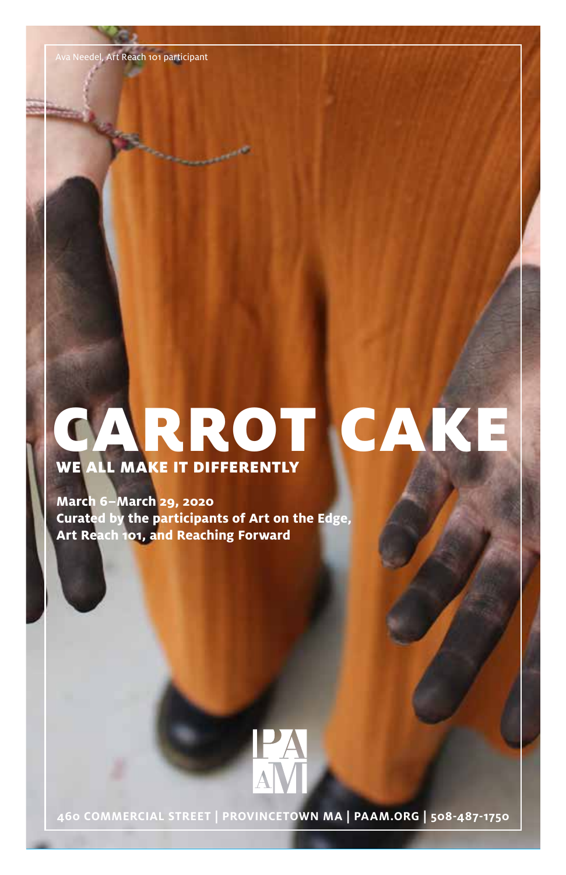**March 6–March 29, 2020 Curated by the participants of Art on the Edge, Art Reach 101, and Reaching Forward**



**460 COMMERCIAL STREET | PROVINCETOWN MA | PAAM.ORG | 508-487-1750**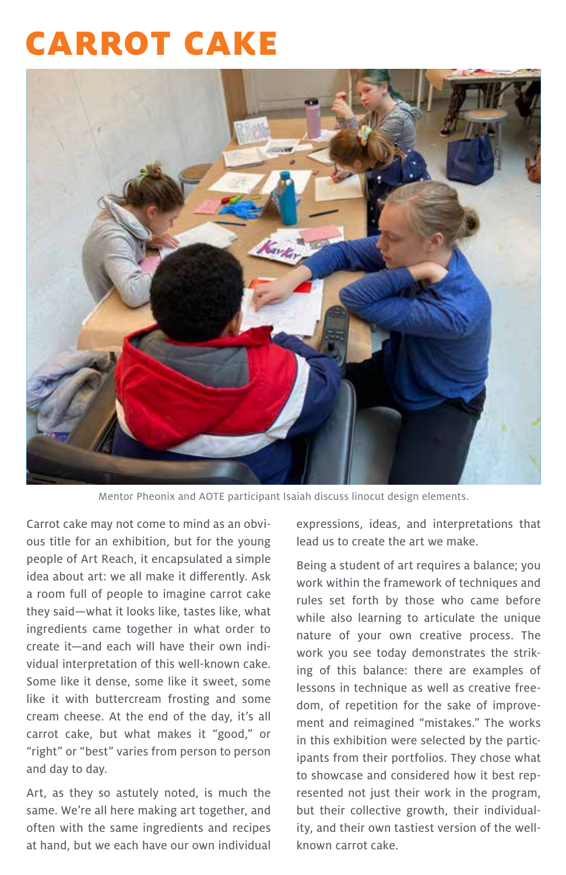

Mentor Pheonix and AOTE participant Isaiah discuss linocut design elements.

Carrot cake may not come to mind as an obvious title for an exhibition, but for the young people of Art Reach, it encapsulated a simple idea about art: we all make it differently. Ask a room full of people to imagine carrot cake they said—what it looks like, tastes like, what ingredients came together in what order to create it—and each will have their own individual interpretation of this well-known cake. Some like it dense, some like it sweet, some like it with buttercream frosting and some cream cheese. At the end of the day, it's all carrot cake, but what makes it "good," or "right" or "best" varies from person to person and day to day.

Art, as they so astutely noted, is much the same. We're all here making art together, and often with the same ingredients and recipes at hand, but we each have our own individual expressions, ideas, and interpretations that lead us to create the art we make.

Being a student of art requires a balance; you work within the framework of techniques and rules set forth by those who came before while also learning to articulate the unique nature of your own creative process. The work you see today demonstrates the striking of this balance: there are examples of lessons in technique as well as creative freedom, of repetition for the sake of improvement and reimagined "mistakes." The works in this exhibition were selected by the participants from their portfolios. They chose what to showcase and considered how it best represented not just their work in the program, but their collective growth, their individuality, and their own tastiest version of the wellknown carrot cake.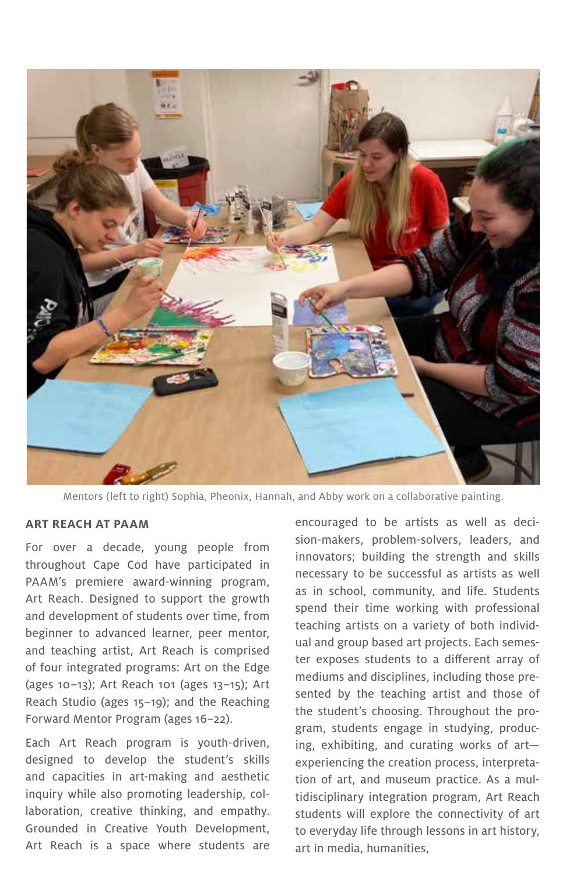

Mentors (left to right) Sophia, Pheonix, Hannah, and Abby work on a collaborative painting.

#### **ART REACH AT PAAM**

For over a decade, young people from throughout Cape Cod have participated in PAAM's premiere award-winning program, Art Reach. Designed to support the growth and development of students over time, from beginner to advanced learner, peer mentor, and teaching artist, Art Reach is comprised of four integrated programs: Art on the Edge (ages 10–13); Art Reach 101 (ages 13–15); Art Reach Studio (ages 15–19); and the Reaching Forward Mentor Program (ages 16–22).

Each Art Reach program is youth-driven, designed to develop the student's skills and capacities in art-making and aesthetic inquiry while also promoting leadership, collaboration, creative thinking, and empathy. Grounded in Creative Youth Development, Art Reach is a space where students are encouraged to be artists as well as decision-makers, problem-solvers, leaders, and innovators; building the strength and skills necessary to be successful as artists as well as in school, community, and life. Students spend their time working with professional teaching artists on a variety of both individual and group based art projects. Each semester exposes students to a different array of mediums and disciplines, including those presented by the teaching artist and those of the student's choosing. Throughout the program, students engage in studying, producing, exhibiting, and curating works of art experiencing the creation process, interpretation of art, and museum practice. As a multidisciplinary integration program, Art Reach students will explore the connectivity of art to everyday life through lessons in art history, art in media, humanities,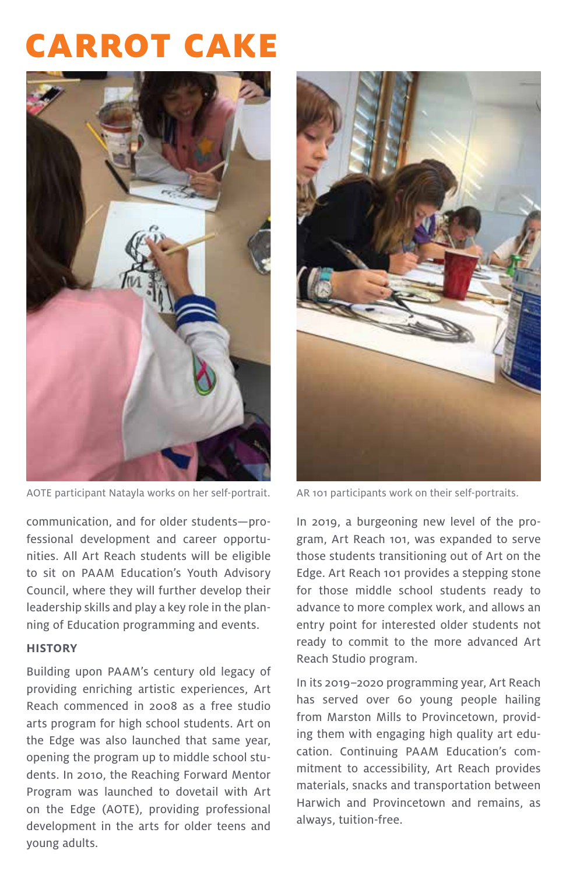

AOTE participant Natayla works on her self-portrait. AR 101 participants work on their self-portraits.

communication, and for older students—professional development and career opportunities. All Art Reach students will be eligible to sit on PAAM Education's Youth Advisory Council, where they will further develop their leadership skills and play a key role in the planning of Education programming and events.

#### **HISTORY**

Building upon PAAM's century old legacy of providing enriching artistic experiences, Art Reach commenced in 2008 as a free studio arts program for high school students. Art on the Edge was also launched that same year, opening the program up to middle school students. In 2010, the Reaching Forward Mentor Program was launched to dovetail with Art on the Edge (AOTE), providing professional development in the arts for older teens and young adults.



In 2019, a burgeoning new level of the program, Art Reach 101, was expanded to serve those students transitioning out of Art on the Edge. Art Reach 101 provides a stepping stone for those middle school students ready to advance to more complex work, and allows an entry point for interested older students not ready to commit to the more advanced Art Reach Studio program.

In its 2019–2020 programming year, Art Reach has served over 60 young people hailing from Marston Mills to Provincetown, providing them with engaging high quality art education. Continuing PAAM Education's commitment to accessibility, Art Reach provides materials, snacks and transportation between Harwich and Provincetown and remains, as always, tuition-free.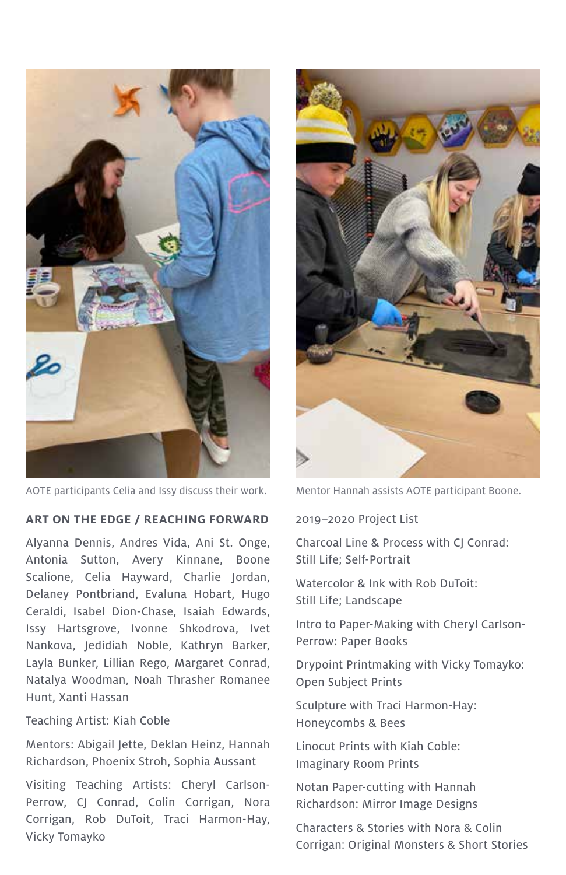

AOTE participants Celia and Issy discuss their work. Mentor Hannah assists AOTE participant Boone.

#### **ART ON THE EDGE / REACHING FORWARD**

Alyanna Dennis, Andres Vida, Ani St. Onge, Antonia Sutton, Avery Kinnane, Boone Scalione, Celia Hayward, Charlie Jordan, Delaney Pontbriand, Evaluna Hobart, Hugo Ceraldi, Isabel Dion-Chase, Isaiah Edwards, Issy Hartsgrove, Ivonne Shkodrova, Ivet Nankova, Jedidiah Noble, Kathryn Barker, Layla Bunker, Lillian Rego, Margaret Conrad, Natalya Woodman, Noah Thrasher Romanee Hunt, Xanti Hassan

#### Teaching Artist: Kiah Coble

Mentors: Abigail Jette, Deklan Heinz, Hannah Richardson, Phoenix Stroh, Sophia Aussant

Visiting Teaching Artists: Cheryl Carlson-Perrow, CJ Conrad, Colin Corrigan, Nora Corrigan, Rob DuToit, Traci Harmon-Hay, Vicky Tomayko



#### 2019–2020 Project List

Charcoal Line & Process with CJ Conrad: Still Life; Self-Portrait

Watercolor & Ink with Rob DuToit: Still Life; Landscape

Intro to Paper-Making with Cheryl Carlson-Perrow: Paper Books

Drypoint Printmaking with Vicky Tomayko: Open Subject Prints

Sculpture with Traci Harmon-Hay: Honeycombs & Bees

Linocut Prints with Kiah Coble: Imaginary Room Prints

Notan Paper-cutting with Hannah Richardson: Mirror Image Designs

Characters & Stories with Nora & Colin Corrigan: Original Monsters & Short Stories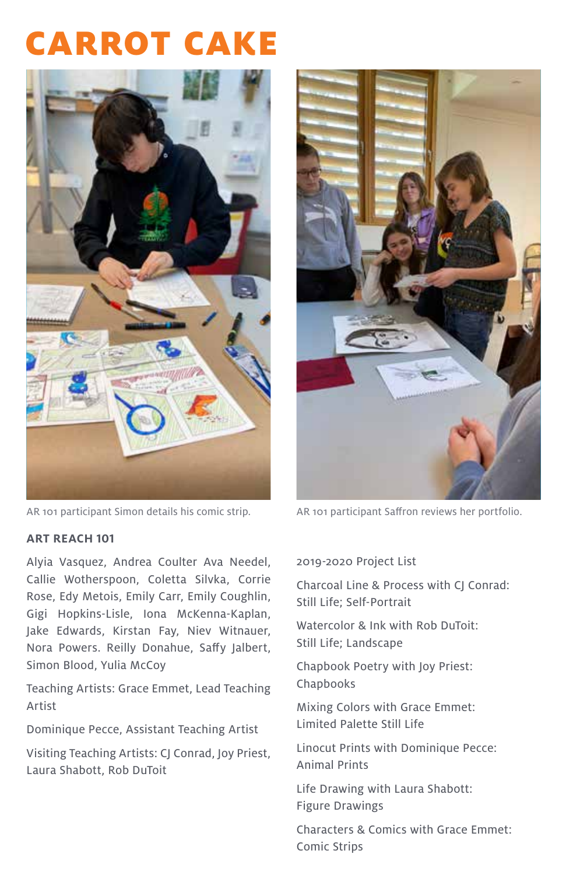

AR 101 participant Simon details his comic strip. AR 101 participant Saffron reviews her portfolio.

#### **ART REACH 101**

Alyia Vasquez, Andrea Coulter Ava Needel, Callie Wotherspoon, Coletta Silvka, Corrie Rose, Edy Metois, Emily Carr, Emily Coughlin, Gigi Hopkins-Lisle, Iona McKenna-Kaplan, Jake Edwards, Kirstan Fay, Niev Witnauer, Nora Powers. Reilly Donahue, Saffy Jalbert, Simon Blood, Yulia McCoy

Teaching Artists: Grace Emmet, Lead Teaching Artist

Dominique Pecce, Assistant Teaching Artist

Visiting Teaching Artists: CJ Conrad, Joy Priest, Laura Shabott, Rob DuToit



#### 2019-2020 Project List

Charcoal Line & Process with CJ Conrad: Still Life; Self-Portrait

Watercolor & Ink with Rob DuToit: Still Life; Landscape

Chapbook Poetry with Joy Priest: Chapbooks

Mixing Colors with Grace Emmet: Limited Palette Still Life

Linocut Prints with Dominique Pecce: Animal Prints

Life Drawing with Laura Shabott: Figure Drawings

Characters & Comics with Grace Emmet: Comic Strips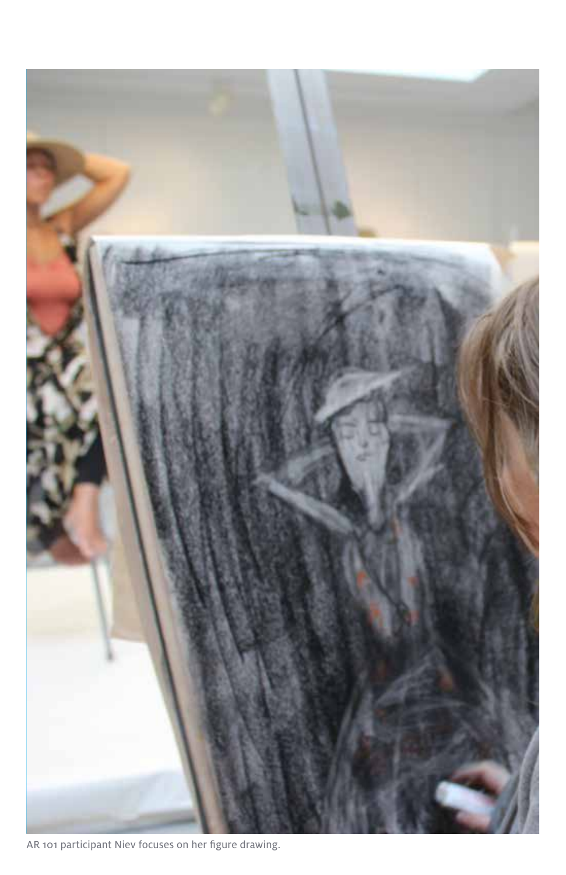

AR 101 participant Niev focuses on her figure drawing.